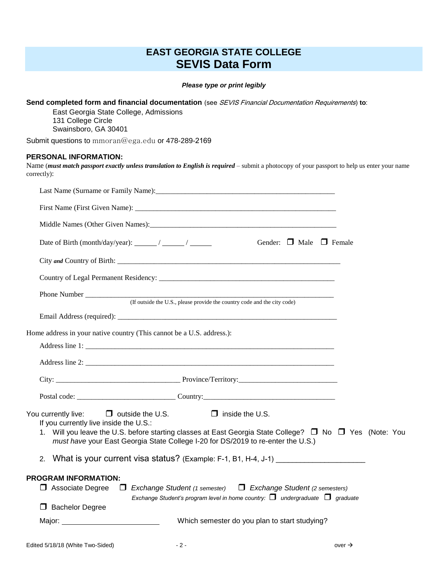## **EAST GEORGIA STATE COLLEGE SEVIS Data Form**

*Please type or print legibly*

**Send completed form and financial documentation** (see SEVIS Financial Documentation Requirements) **to**:

East Georgia State College, Admissions 131 College Circle Swainsboro, GA 30401

Submit questions to mmoran@ega.edu or 478-289-2169

## **PERSONAL INFORMATION:**

Name (*must match passport exactly unless translation to English is required* – submit a photocopy of your passport to help us enter your name correctly):

|                                                                                                              |                                                                                                                                                                                             |                                               | Gender: $\Box$ Male $\Box$ Female |                    |  |
|--------------------------------------------------------------------------------------------------------------|---------------------------------------------------------------------------------------------------------------------------------------------------------------------------------------------|-----------------------------------------------|-----------------------------------|--------------------|--|
|                                                                                                              |                                                                                                                                                                                             |                                               |                                   |                    |  |
|                                                                                                              |                                                                                                                                                                                             |                                               |                                   |                    |  |
|                                                                                                              |                                                                                                                                                                                             |                                               |                                   |                    |  |
|                                                                                                              |                                                                                                                                                                                             |                                               |                                   |                    |  |
|                                                                                                              |                                                                                                                                                                                             |                                               |                                   |                    |  |
| Home address in your native country (This cannot be a U.S. address.):                                        |                                                                                                                                                                                             |                                               |                                   |                    |  |
|                                                                                                              |                                                                                                                                                                                             |                                               |                                   |                    |  |
|                                                                                                              |                                                                                                                                                                                             |                                               |                                   |                    |  |
|                                                                                                              |                                                                                                                                                                                             |                                               |                                   |                    |  |
|                                                                                                              |                                                                                                                                                                                             |                                               |                                   |                    |  |
| You currently live: $\Box$ outside the U.S. $\Box$ inside the U.S.<br>If you currently live inside the U.S.: |                                                                                                                                                                                             |                                               |                                   |                    |  |
|                                                                                                              | 1. Will you leave the U.S. before starting classes at East Georgia State College? □ No □ Yes (Note: You<br>must have your East Georgia State College I-20 for DS/2019 to re-enter the U.S.) |                                               |                                   |                    |  |
|                                                                                                              | 2. What is your current visa status? (Example: F-1, B1, H-4, J-1) _______________                                                                                                           |                                               |                                   |                    |  |
| <b>PROGRAM INFORMATION:</b><br>$\Box$ Associate Degree<br><b>Bachelor Degree</b>                             | $\Box$ Exchange Student (1 semester) $\Box$ Exchange Student (2 semesters)<br>Exchange Student's program level in home country: $\Box$ undergraduate $\Box$ graduate                        |                                               |                                   |                    |  |
| Major: <u>with the contract of the contract of</u>                                                           |                                                                                                                                                                                             | Which semester do you plan to start studying? |                                   |                    |  |
| Edited 5/18/18 (White Two-Sided)                                                                             | $-2-$                                                                                                                                                                                       |                                               |                                   | over $\rightarrow$ |  |